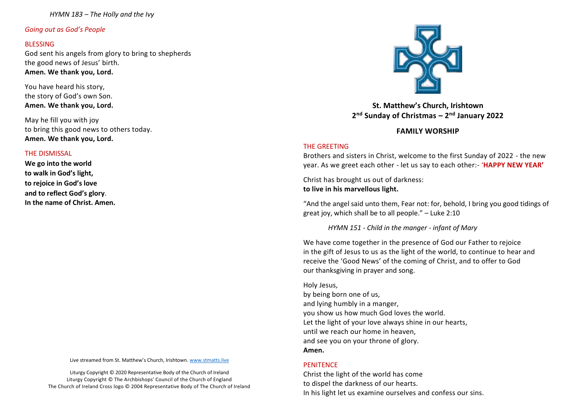*Going out as God's People*

#### **BLESSING**

God sent his angels from glory to bring to shepherds the good news of Jesus' birth. **Amen. We thank you, Lord.**

You have heard his story, the story of God's own Son. **Amen. We thank you, Lord.**

May he fill you with joy to bring this good news to others today. **Amen. We thank you, Lord.**

#### THE DISMISSAL

**We go into the world to walk in God's light, to rejoice in God's love and to reflect God's glory**. **In the name of Christ. Amen.**

Live streamed from St. Matthew's Church, Irishtown. [www.stmatts.live](about:blank)

Liturgy Copyright © 2020 Representative Body of the Church of Ireland Liturgy Copyright © The Archbishops' Council of the Church of England The Church of Ireland Cross logo © 2004 Representative Body of The Church of Ireland



**St. Matthew's Church, Irishtown 2 nd Sunday of Christmas – 2 nd January 2022**

# **FAMILY WORSHIP**

## THE GREETING

Brothers and sisters in Christ, welcome to the first Sunday of 2022 - the new year. As we greet each other - let us say to each other:- '**HAPPY NEW YEAR'**

Christ has brought us out of darkness: **to live in his marvellous light.**

"And the angel said unto them, Fear not: for, behold, I bring you good tidings of great joy, which shall be to all people." – Luke 2:10

*HYMN 151 - Child in the manger - infant of Mary* 

We have come together in the presence of God our Father to rejoice in the gift of Jesus to us as the light of the world, to continue to hear and receive the 'Good News' of the coming of Christ, and to offer to God our thanksgiving in prayer and song.

Holy Jesus, by being born one of us, and lying humbly in a manger, you show us how much God loves the world. Let the light of your love always shine in our hearts, until we reach our home in heaven, and see you on your throne of glory. **Amen.**

## **PENITENCE**

Christ the light of the world has come to dispel the darkness of our hearts. In his light let us examine ourselves and confess our sins.